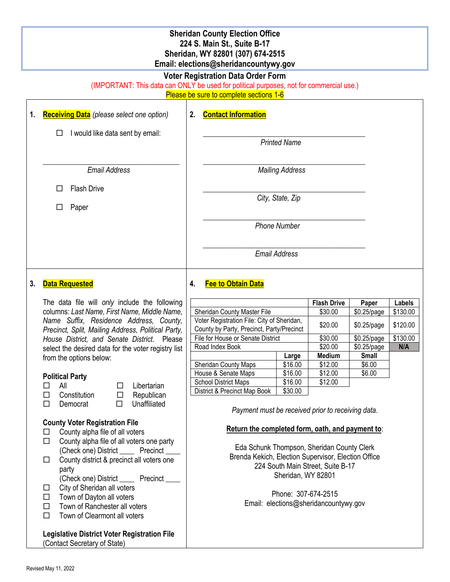## **Sheridan County Election Office 224 S. Main St., Suite B-17 Sheridan, WY 82801 (307) 674-2515 Email: elections@sheridancountywy.gov**

## **Voter Registration Data Order Form**

(IMPORTANT: This data can ONLY be used for political purposes, not for commercial use.)

Please be sure to complete sections 1-6 ┬

| 1. | <b>Receiving Data</b> (please select one option)                                                                                                                                   | 2.                                                | <b>Contact Information</b>                                                                         |                        |                                   |              |          |  |
|----|------------------------------------------------------------------------------------------------------------------------------------------------------------------------------------|---------------------------------------------------|----------------------------------------------------------------------------------------------------|------------------------|-----------------------------------|--------------|----------|--|
|    | I would like data sent by email:<br>□                                                                                                                                              |                                                   | <b>Printed Name</b>                                                                                |                        |                                   |              |          |  |
|    | <b>Email Address</b>                                                                                                                                                               |                                                   |                                                                                                    | <b>Mailing Address</b> |                                   |              |          |  |
|    | <b>Flash Drive</b><br>$\Box$<br>Paper<br>□                                                                                                                                         |                                                   | City, State, Zip                                                                                   |                        |                                   |              |          |  |
|    |                                                                                                                                                                                    |                                                   | <b>Phone Number</b>                                                                                |                        |                                   |              |          |  |
|    |                                                                                                                                                                                    |                                                   | <b>Email Address</b>                                                                               |                        |                                   |              |          |  |
| 3. | <b>Data Requested</b>                                                                                                                                                              | 4.                                                | <b>Fee to Obtain Data</b>                                                                          |                        |                                   |              |          |  |
|    | The data file will only include the following                                                                                                                                      |                                                   |                                                                                                    |                        | <b>Flash Drive</b>                | Paper        | Labels   |  |
|    | columns: Last Name, First Name, Middle Name,                                                                                                                                       |                                                   | Sheridan County Master File                                                                        |                        | \$30.00                           | \$0.25/page  | \$130.00 |  |
|    | Name Suffix, Residence Address, County,<br>Precinct, Split, Mailing Address, Political Party,<br>House District, and Senate District. Please                                       |                                                   | Voter Registration File: City of Sheridan,<br>\$20.00<br>County by Party, Precinct, Party/Precinct |                        |                                   | \$0.25/page  | \$120.00 |  |
|    |                                                                                                                                                                                    |                                                   | File for House or Senate District                                                                  | \$30.00                | \$0.25/page                       | \$130.00     |          |  |
|    | select the desired data for the voter registry list                                                                                                                                |                                                   | Road Index Book                                                                                    |                        | \$20.00                           | \$0.25/page  | N/A      |  |
|    | from the options below:                                                                                                                                                            |                                                   |                                                                                                    | Large                  | Medium                            | <b>Small</b> |          |  |
|    |                                                                                                                                                                                    |                                                   | Sheridan County Maps                                                                               | $\overline{$}16.00$    | \$12.00                           | \$6.00       |          |  |
|    | <b>Political Party</b>                                                                                                                                                             |                                                   | House & Senate Maps<br><b>School District Maps</b>                                                 | \$16.00<br>\$16.00     | \$12.00<br>\$12.00                | \$6.00       |          |  |
|    | All<br>Libertarian<br>□<br>□                                                                                                                                                       |                                                   | District & Precinct Map Book                                                                       | \$30.00                |                                   |              |          |  |
|    | $\Box$<br>Constitution<br>$\Box$<br>Republican                                                                                                                                     |                                                   |                                                                                                    |                        |                                   |              |          |  |
|    | $\Box$<br>$\Box$<br>Unaffiliated<br>Democrat                                                                                                                                       | Payment must be received prior to receiving data. |                                                                                                    |                        |                                   |              |          |  |
|    | <b>County Voter Registration File</b><br>County alpha file of all voters<br>$\Box$<br>County alpha file of all voters one party<br>□<br>(Check one) District ______ Precinct _____ |                                                   |                                                                                                    |                        |                                   |              |          |  |
|    |                                                                                                                                                                                    |                                                   | Return the completed form, oath, and payment to:                                                   |                        |                                   |              |          |  |
|    |                                                                                                                                                                                    |                                                   |                                                                                                    |                        |                                   |              |          |  |
|    |                                                                                                                                                                                    |                                                   | Eda Schunk Thompson, Sheridan County Clerk<br>Brenda Kekich, Election Supervisor, Election Office  |                        |                                   |              |          |  |
|    | County district & precinct all voters one<br>□                                                                                                                                     |                                                   |                                                                                                    |                        | 224 South Main Street, Suite B-17 |              |          |  |
|    | party                                                                                                                                                                              |                                                   |                                                                                                    | Sheridan, WY 82801     |                                   |              |          |  |
|    | (Check one) District ______ Precinct _____<br>City of Sheridan all voters<br>$\Box$<br>Town of Dayton all voters<br>$\Box$<br>Town of Ranchester all voters<br>$\Box$              |                                                   |                                                                                                    |                        |                                   |              |          |  |
|    |                                                                                                                                                                                    |                                                   | Phone: 307-674-2515                                                                                |                        |                                   |              |          |  |
|    |                                                                                                                                                                                    |                                                   | Email: elections@sheridancountywy.gov                                                              |                        |                                   |              |          |  |
|    | Town of Clearmont all voters<br>$\Box$                                                                                                                                             |                                                   |                                                                                                    |                        |                                   |              |          |  |
|    |                                                                                                                                                                                    |                                                   |                                                                                                    |                        |                                   |              |          |  |
|    | <b>Legislative District Voter Registration File</b>                                                                                                                                |                                                   |                                                                                                    |                        |                                   |              |          |  |
|    | (Contact Secretary of State)                                                                                                                                                       |                                                   |                                                                                                    |                        |                                   |              |          |  |